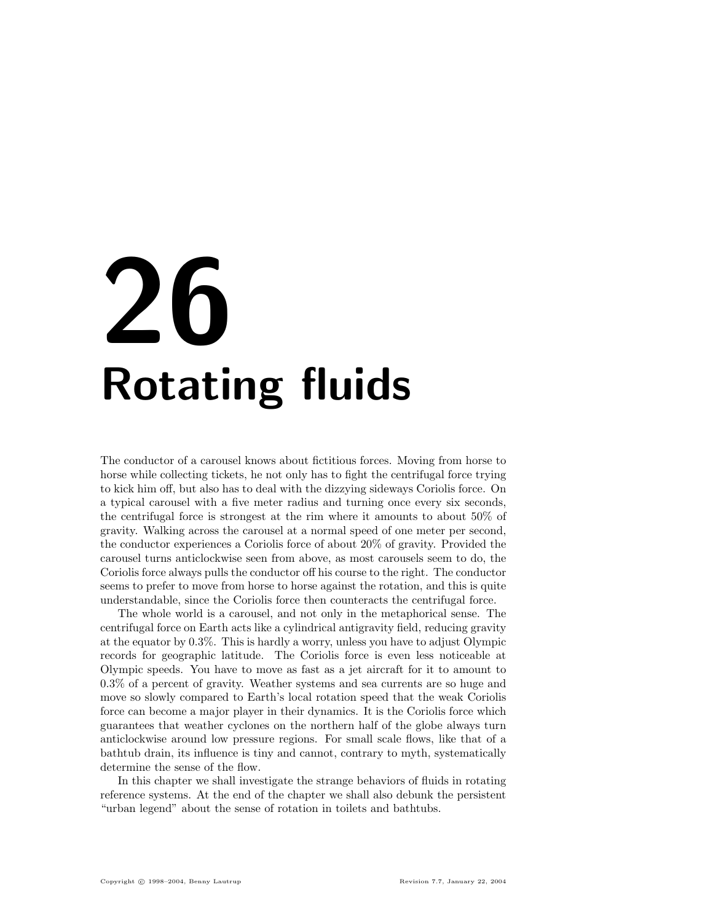# 26 Rotating fluids

The conductor of a carousel knows about fictitious forces. Moving from horse to horse while collecting tickets, he not only has to fight the centrifugal force trying to kick him off, but also has to deal with the dizzying sideways Coriolis force. On a typical carousel with a five meter radius and turning once every six seconds, the centrifugal force is strongest at the rim where it amounts to about 50% of gravity. Walking across the carousel at a normal speed of one meter per second, the conductor experiences a Coriolis force of about 20% of gravity. Provided the carousel turns anticlockwise seen from above, as most carousels seem to do, the Coriolis force always pulls the conductor off his course to the right. The conductor seems to prefer to move from horse to horse against the rotation, and this is quite understandable, since the Coriolis force then counteracts the centrifugal force.

The whole world is a carousel, and not only in the metaphorical sense. The centrifugal force on Earth acts like a cylindrical antigravity field, reducing gravity at the equator by 0.3%. This is hardly a worry, unless you have to adjust Olympic records for geographic latitude. The Coriolis force is even less noticeable at Olympic speeds. You have to move as fast as a jet aircraft for it to amount to 0.3% of a percent of gravity. Weather systems and sea currents are so huge and move so slowly compared to Earth's local rotation speed that the weak Coriolis force can become a major player in their dynamics. It is the Coriolis force which guarantees that weather cyclones on the northern half of the globe always turn anticlockwise around low pressure regions. For small scale flows, like that of a bathtub drain, its influence is tiny and cannot, contrary to myth, systematically determine the sense of the flow.

In this chapter we shall investigate the strange behaviors of fluids in rotating reference systems. At the end of the chapter we shall also debunk the persistent "urban legend" about the sense of rotation in toilets and bathtubs.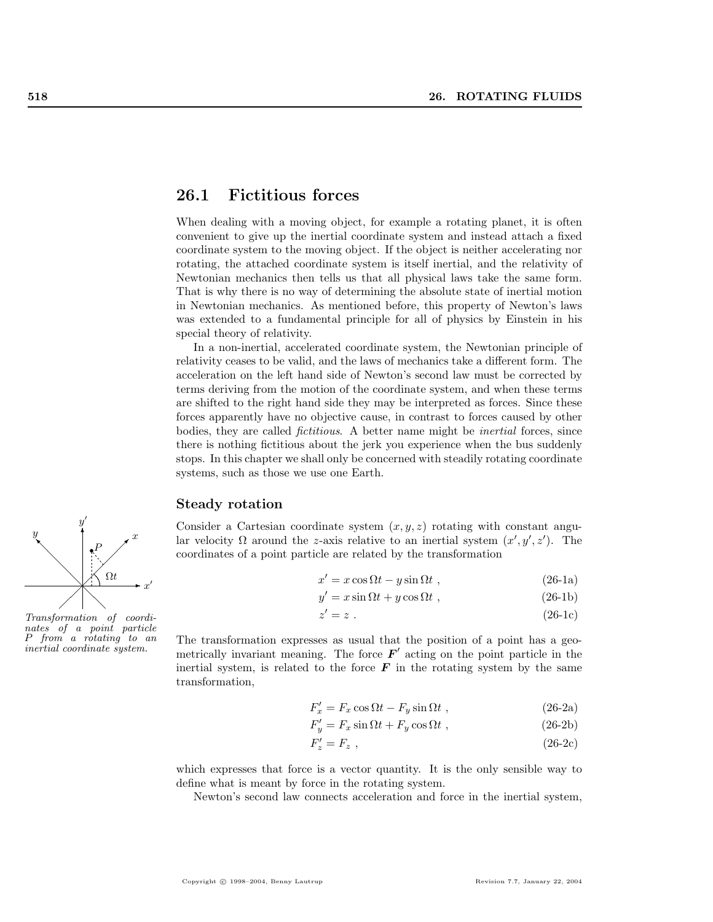## 26.1 Fictitious forces

When dealing with a moving object, for example a rotating planet, it is often convenient to give up the inertial coordinate system and instead attach a fixed coordinate system to the moving object. If the object is neither accelerating nor rotating, the attached coordinate system is itself inertial, and the relativity of Newtonian mechanics then tells us that all physical laws take the same form. That is why there is no way of determining the absolute state of inertial motion in Newtonian mechanics. As mentioned before, this property of Newton's laws was extended to a fundamental principle for all of physics by Einstein in his special theory of relativity.

In a non-inertial, accelerated coordinate system, the Newtonian principle of relativity ceases to be valid, and the laws of mechanics take a different form. The acceleration on the left hand side of Newton's second law must be corrected by terms deriving from the motion of the coordinate system, and when these terms are shifted to the right hand side they may be interpreted as forces. Since these forces apparently have no objective cause, in contrast to forces caused by other bodies, they are called fictitious. A better name might be inertial forces, since there is nothing fictitious about the jerk you experience when the bus suddenly stops. In this chapter we shall only be concerned with steadily rotating coordinate systems, such as those we use one Earth.

## Steady rotation

Consider a Cartesian coordinate system  $(x, y, z)$  rotating with constant angular velocity  $\Omega$  around the z-axis relative to an inertial system  $(x', y', z')$ . The coordinates of a point particle are related by the transformation

$$
x' = x\cos\Omega t - y\sin\Omega t , \qquad (26-1a)
$$

$$
y' = x \sin \Omega t + y \cos \Omega t , \qquad (26-1b)
$$

$$
z' = z \tag{26-1c}
$$

The transformation expresses as usual that the position of a point has a geo inertial coordinate system.<br>metrically invariant meaning. The force  $\mathbf{F}'$  acting on the point particle in the inertial system, is related to the force  $\boldsymbol{F}$  in the rotating system by the same transformation,

$$
F'_x = F_x \cos \Omega t - F_y \sin \Omega t , \qquad (26-2a)
$$

$$
F'_y = F_x \sin \Omega t + F_y \cos \Omega t , \qquad (26-2b)
$$

$$
F'_z = F_z \t\t(26-2c)
$$

which expresses that force is a vector quantity. It is the only sensible way to define what is meant by force in the rotating system.

Newton's second law connects acceleration and force in the inertial system,



 $\hat{y}$  $\prime$ 

nates of a point particle P from a rotating to an inertial coordinate system.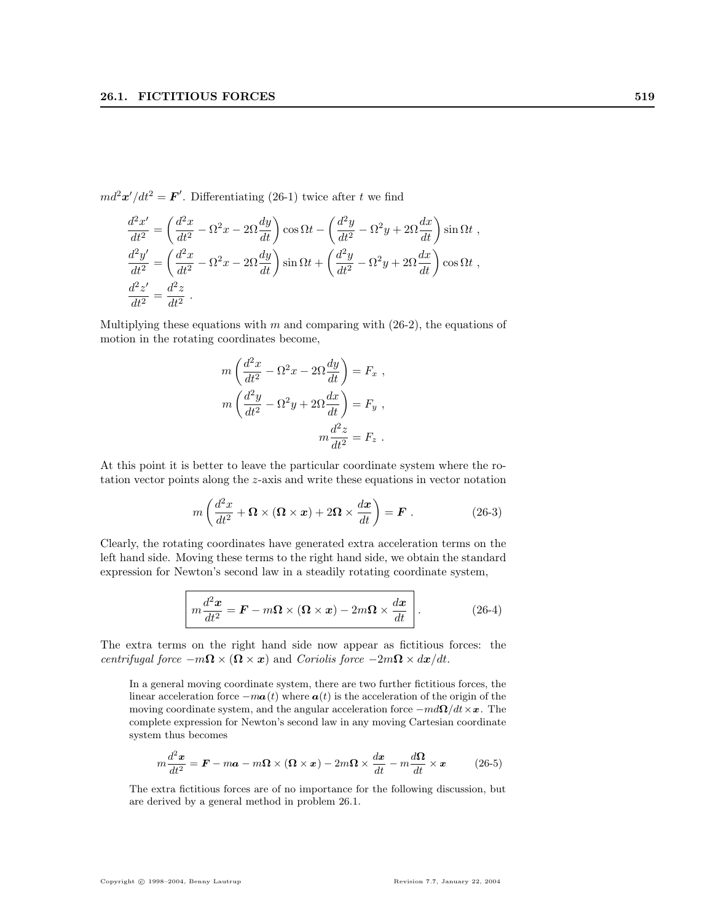$md^2\mathbf{x}'/dt^2 = \mathbf{F}'$ . Differentiating (26-1) twice after t we find

$$
\frac{d^2x'}{dt^2} = \left(\frac{d^2x}{dt^2} - \Omega^2 x - 2\Omega \frac{dy}{dt}\right) \cos \Omega t - \left(\frac{d^2y}{dt^2} - \Omega^2 y + 2\Omega \frac{dx}{dt}\right) \sin \Omega t ,
$$
  

$$
\frac{d^2y'}{dt^2} = \left(\frac{d^2x}{dt^2} - \Omega^2 x - 2\Omega \frac{dy}{dt}\right) \sin \Omega t + \left(\frac{d^2y}{dt^2} - \Omega^2 y + 2\Omega \frac{dx}{dt}\right) \cos \Omega t ,
$$
  

$$
\frac{d^2z'}{dt^2} = \frac{d^2z}{dt^2} .
$$

Multiplying these equations with  $m$  and comparing with  $(26-2)$ , the equations of motion in the rotating coordinates become,

$$
m\left(\frac{d^2x}{dt^2} - \Omega^2x - 2\Omega\frac{dy}{dt}\right) = F_x,
$$
  

$$
m\left(\frac{d^2y}{dt^2} - \Omega^2y + 2\Omega\frac{dx}{dt}\right) = F_y,
$$
  

$$
m\frac{d^2z}{dt^2} = F_z.
$$

At this point it is better to leave the particular coordinate system where the rotation vector points along the z-axis and write these equations in vector notation

$$
m\left(\frac{d^2x}{dt^2} + \mathbf{\Omega} \times (\mathbf{\Omega} \times \mathbf{x}) + 2\mathbf{\Omega} \times \frac{d\mathbf{x}}{dt}\right) = \mathbf{F}.
$$
 (26-3)

Clearly, the rotating coordinates have generated extra acceleration terms on the left hand side. Moving these terms to the right hand side, we obtain the standard expression for Newton's second law in a steadily rotating coordinate system,

$$
m\frac{d^2x}{dt^2} = \boldsymbol{F} - m\boldsymbol{\Omega} \times (\boldsymbol{\Omega} \times \boldsymbol{x}) - 2m\boldsymbol{\Omega} \times \frac{d\boldsymbol{x}}{dt} \qquad (26-4)
$$

The extra terms on the right hand side now appear as fictitious forces: the centrifugal force  $-m\Omega \times (\Omega \times x)$  and Coriolis force  $-2m\Omega \times dx/dt$ .

In a general moving coordinate system, there are two further fictitious forces, the linear acceleration force  $-ma(t)$  where  $a(t)$  is the acceleration of the origin of the moving coordinate system, and the angular acceleration force  $-md\Omega/dt\times x$ . The complete expression for Newton's second law in any moving Cartesian coordinate system thus becomes

$$
m\frac{d^2x}{dt^2} = \mathbf{F} - m\mathbf{a} - m\mathbf{\Omega} \times (\mathbf{\Omega} \times \mathbf{x}) - 2m\mathbf{\Omega} \times \frac{dx}{dt} - m\frac{d\mathbf{\Omega}}{dt} \times \mathbf{x}
$$
 (26-5)

The extra fictitious forces are of no importance for the following discussion, but are derived by a general method in problem 26.1.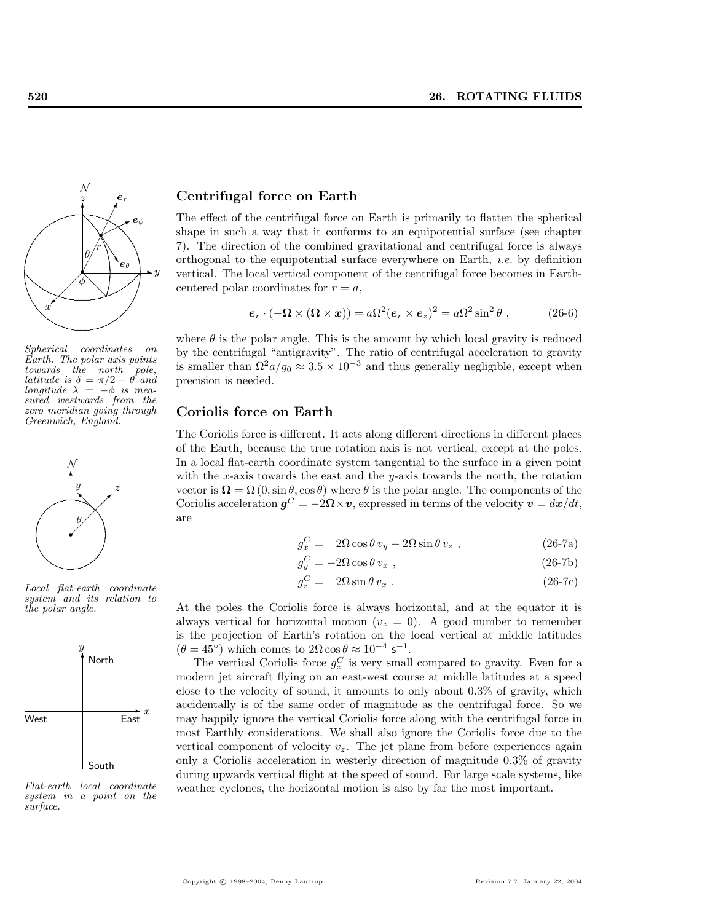

Spherical coordinates on Earth. The polar axis points<br>towards the north pole,  $towards$   $the$   $north$ latitude is  $\delta = \pi/2 - \theta$  and longitude  $\lambda = -\phi$  is measured westwards from the zero meridian going through Greenwich, England.



Local flat-earth coordinate system and its relation to the polar angle.



Flat-earth local coordinate system in a point on the surface.

## Centrifugal force on Earth

The effect of the centrifugal force on Earth is primarily to flatten the spherical shape in such a way that it conforms to an equipotential surface (see chapter 7). The direction of the combined gravitational and centrifugal force is always orthogonal to the equipotential surface everywhere on Earth, i.e. by definition vertical. The local vertical component of the centrifugal force becomes in Earthcentered polar coordinates for  $r = a$ ,

$$
\mathbf{e}_r \cdot (-\mathbf{\Omega} \times (\mathbf{\Omega} \times \mathbf{x})) = a\Omega^2 (\mathbf{e}_r \times \mathbf{e}_z)^2 = a\Omega^2 \sin^2 \theta , \qquad (26-6)
$$

where  $\theta$  is the polar angle. This is the amount by which local gravity is reduced by the centrifugal "antigravity". The ratio of centrifugal acceleration to gravity is smaller than  $\Omega^2 a/g_0 \approx 3.5 \times 10^{-3}$  and thus generally negligible, except when precision is needed.

#### Coriolis force on Earth

The Coriolis force is different. It acts along different directions in different places of the Earth, because the true rotation axis is not vertical, except at the poles. In a local flat-earth coordinate system tangential to the surface in a given point with the x-axis towards the east and the  $y$ -axis towards the north, the rotation vector is  $\Omega = \Omega(0, \sin \theta, \cos \theta)$  where  $\theta$  is the polar angle. The components of the Coriolis acceleration  $g^C = -2\Omega \times v$ , expressed in terms of the velocity  $v = dx/dt$ , are

$$
g_x^C = 2\Omega \cos \theta v_y - 2\Omega \sin \theta v_z , \qquad (26-7a)
$$

$$
g_y^C = -2\Omega\cos\theta\,v_x\,,\tag{26-7b}
$$

$$
g_z^C = 2\Omega \sin \theta v_x \,. \tag{26-7c}
$$

At the poles the Coriolis force is always horizontal, and at the equator it is always vertical for horizontal motion ( $v_z = 0$ ). A good number to remember is the projection of Earth's rotation on the local vertical at middle latitudes  $(\theta = 45^{\circ})$  which comes to  $2\Omega \cos \theta \approx 10^{-4}$  s<sup>-1</sup>.

The vertical Coriolis force  $g_z^C$  is very small compared to gravity. Even for a modern jet aircraft flying on an east-west course at middle latitudes at a speed close to the velocity of sound, it amounts to only about 0.3% of gravity, which accidentally is of the same order of magnitude as the centrifugal force. So we may happily ignore the vertical Coriolis force along with the centrifugal force in most Earthly considerations. We shall also ignore the Coriolis force due to the vertical component of velocity  $v<sub>z</sub>$ . The jet plane from before experiences again only a Coriolis acceleration in westerly direction of magnitude 0.3% of gravity during upwards vertical flight at the speed of sound. For large scale systems, like weather cyclones, the horizontal motion is also by far the most important.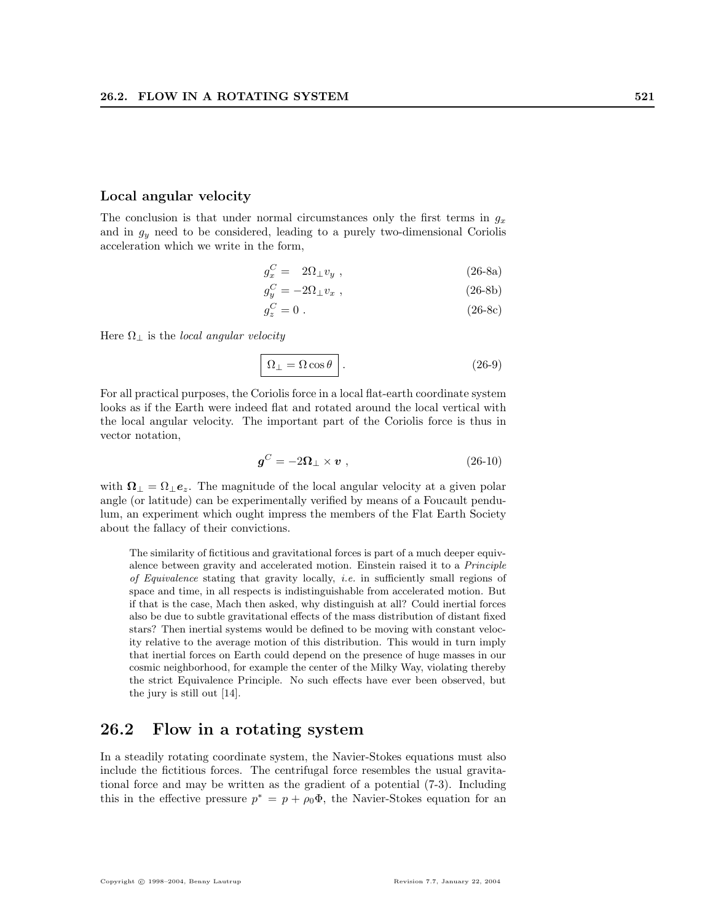#### Local angular velocity

The conclusion is that under normal circumstances only the first terms in  $g_x$ and in  $g_y$  need to be considered, leading to a purely two-dimensional Coriolis acceleration which we write in the form,

$$
g_x^C = 2\Omega_\perp v_y \tag{26-8a}
$$

$$
g_y^C = -2\Omega_\perp v_x \;, \tag{26-8b}
$$

$$
g_z^C = 0 \tag{26-8c}
$$

Here  $\Omega_{\perp}$  is the *local angular velocity* 

$$
\Omega_{\perp} = \Omega \cos \theta \quad . \tag{26-9}
$$

For all practical purposes, the Coriolis force in a local flat-earth coordinate system looks as if the Earth were indeed flat and rotated around the local vertical with the local angular velocity. The important part of the Coriolis force is thus in vector notation,

$$
\mathbf{g}^C = -2\mathbf{\Omega}_{\perp} \times \mathbf{v} \tag{26-10}
$$

with  $\Omega_{\perp} = \Omega_{\perp} e_z$ . The magnitude of the local angular velocity at a given polar angle (or latitude) can be experimentally verified by means of a Foucault pendulum, an experiment which ought impress the members of the Flat Earth Society about the fallacy of their convictions.

The similarity of fictitious and gravitational forces is part of a much deeper equivalence between gravity and accelerated motion. Einstein raised it to a Principle of Equivalence stating that gravity locally, *i.e.* in sufficiently small regions of space and time, in all respects is indistinguishable from accelerated motion. But if that is the case, Mach then asked, why distinguish at all? Could inertial forces also be due to subtle gravitational effects of the mass distribution of distant fixed stars? Then inertial systems would be defined to be moving with constant velocity relative to the average motion of this distribution. This would in turn imply that inertial forces on Earth could depend on the presence of huge masses in our cosmic neighborhood, for example the center of the Milky Way, violating thereby the strict Equivalence Principle. No such effects have ever been observed, but the jury is still out [14].

## 26.2 Flow in a rotating system

In a steadily rotating coordinate system, the Navier-Stokes equations must also include the fictitious forces. The centrifugal force resembles the usual gravitational force and may be written as the gradient of a potential (7-3). Including this in the effective pressure  $p^* = p + \rho_0 \Phi$ , the Navier-Stokes equation for an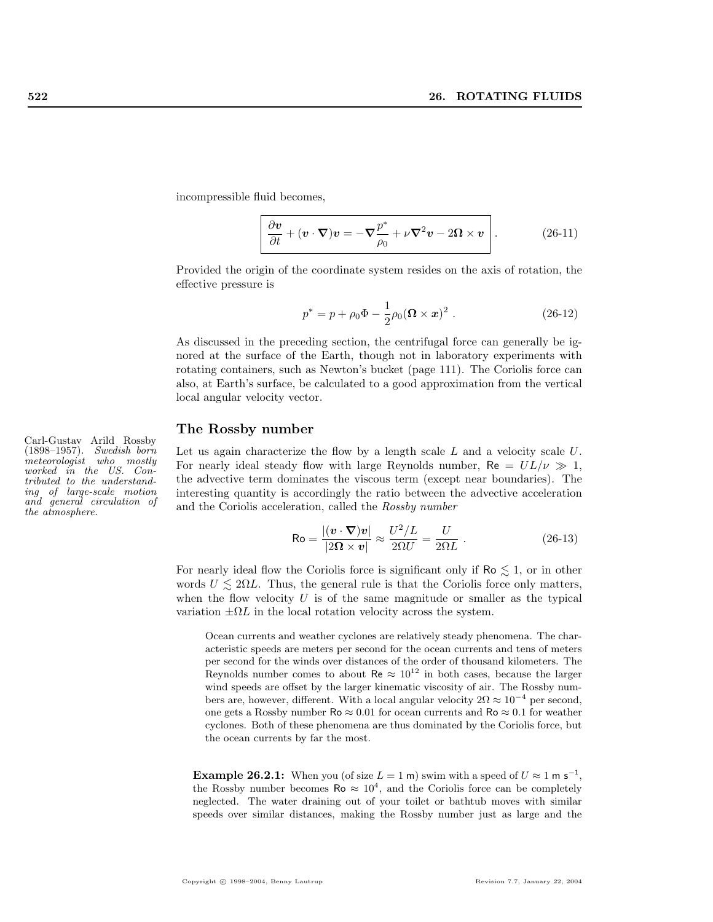incompressible fluid becomes,

$$
\frac{\partial \mathbf{v}}{\partial t} + (\mathbf{v} \cdot \nabla) \mathbf{v} = -\nabla \frac{p^*}{\rho_0} + \nu \nabla^2 \mathbf{v} - 2\mathbf{\Omega} \times \mathbf{v} \quad . \tag{26-11}
$$

Provided the origin of the coordinate system resides on the axis of rotation, the effective pressure is

$$
p^* = p + \rho_0 \Phi - \frac{1}{2} \rho_0 (\mathbf{\Omega} \times \mathbf{x})^2 \ . \tag{26-12}
$$

As discussed in the preceding section, the centrifugal force can generally be ignored at the surface of the Earth, though not in laboratory experiments with rotating containers, such as Newton's bucket (page 111). The Coriolis force can also, at Earth's surface, be calculated to a good approximation from the vertical local angular velocity vector.

## The Rossby number

Let us again characterize the flow by a length scale  $L$  and a velocity scale  $U$ . For nearly ideal steady flow with large Reynolds number,  $Re = UL/\nu \gg 1$ , the advective term dominates the viscous term (except near boundaries). The interesting quantity is accordingly the ratio between the advective acceleration and the Coriolis acceleration, called the Rossby number

$$
\text{Ro} = \frac{|(\mathbf{v} \cdot \nabla)\mathbf{v}|}{|2\mathbf{\Omega} \times \mathbf{v}|} \approx \frac{U^2/L}{2\mathbf{\Omega}U} = \frac{U}{2\mathbf{\Omega}L} \ . \tag{26-13}
$$

For nearly ideal flow the Coriolis force is significant only if  $\text{Ro} \lesssim 1$ , or in other words  $U \leq 2\Omega L$ . Thus, the general rule is that the Coriolis force only matters, when the flow velocity  $U$  is of the same magnitude or smaller as the typical variation  $\pm \Omega L$  in the local rotation velocity across the system.

Ocean currents and weather cyclones are relatively steady phenomena. The characteristic speeds are meters per second for the ocean currents and tens of meters per second for the winds over distances of the order of thousand kilometers. The Reynolds number comes to about Re  $\approx 10^{12}$  in both cases, because the larger wind speeds are offset by the larger kinematic viscosity of air. The Rossby numbers are, however, different. With a local angular velocity  $2\Omega \approx 10^{-4}$  per second, one gets a Rossby number  $\text{Ro} \approx 0.01$  for ocean currents and  $\text{Ro} \approx 0.1$  for weather cyclones. Both of these phenomena are thus dominated by the Coriolis force, but the ocean currents by far the most.

**Example 26.2.1:** When you (of size  $L = 1$  m) swim with a speed of  $U \approx 1$  m s<sup>-1</sup>, the Rossby number becomes  $\text{Ro} \approx 10^4$ , and the Coriolis force can be completely neglected. The water draining out of your toilet or bathtub moves with similar speeds over similar distances, making the Rossby number just as large and the

Carl-Gustav Arild Rossby (1898–1957). Swedish born meteorologist who mostly worked in the US. Contributed to the understanding of large-scale motion and general circulation of the atmosphere.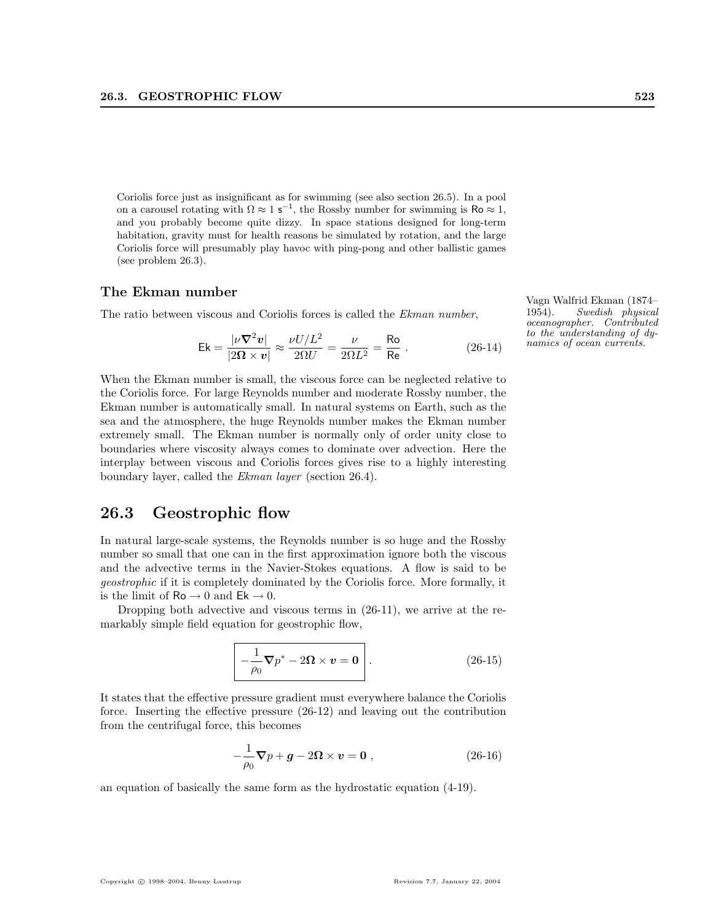Coriolis force just as insignificant as for swimming (see also section 26.5). In a pool on a carousel rotating with  $\Omega \approx 1$  s<sup>-1</sup>, the Rossby number for swimming is Ro  $\approx 1$ , and you probably become quite dizzy. In space stations designed for long-term habitation, gravity must for health reasons be simulated by rotation, and the large Coriolis force will presumably play havoc with ping-pong and other ballistic games (see problem 26.3).

# The Ekman number Vagn Walfrid Ekman (1874–

The ratio between viscous and Coriolis forces is called the Ekman number,

$$
\mathsf{Ek} = \frac{|\nu \nabla^2 v|}{|2\Omega \times v|} \approx \frac{\nu U / L^2}{2\Omega U} = \frac{\nu}{2\Omega L^2} = \frac{\mathsf{Ro}}{\mathsf{Re}} \ . \tag{26-14}
$$

When the Ekman number is small, the viscous force can be neglected relative to the Coriolis force. For large Reynolds number and moderate Rossby number, the Ekman number is automatically small. In natural systems on Earth, such as the sea and the atmosphere, the huge Reynolds number makes the Ekman number extremely small. The Ekman number is normally only of order unity close to boundaries where viscosity always comes to dominate over advection. Here the interplay between viscous and Coriolis forces gives rise to a highly interesting boundary layer, called the Ekman layer (section 26.4).

## 26.3 Geostrophic flow

In natural large-scale systems, the Reynolds number is so huge and the Rossby number so small that one can in the first approximation ignore both the viscous and the advective terms in the Navier-Stokes equations. A flow is said to be geostrophic if it is completely dominated by the Coriolis force. More formally, it is the limit of  $Ro \rightarrow 0$  and  $Ek \rightarrow 0$ .

Dropping both advective and viscous terms in (26-11), we arrive at the remarkably simple field equation for geostrophic flow,

$$
-\frac{1}{\rho_0}\nabla p^* - 2\Omega \times \mathbf{v} = \mathbf{0}
$$
 (26-15)

It states that the effective pressure gradient must everywhere balance the Coriolis force. Inserting the effective pressure (26-12) and leaving out the contribution from the centrifugal force, this becomes

$$
-\frac{1}{\rho_0}\nabla p + \boldsymbol{g} - 2\boldsymbol{\Omega} \times \boldsymbol{v} = \boldsymbol{0} , \qquad (26-16)
$$

an equation of basically the same form as the hydrostatic equation (4-19).

1954). Swedish physical oceanographer. Contributed to the understanding of dynamics of ocean currents.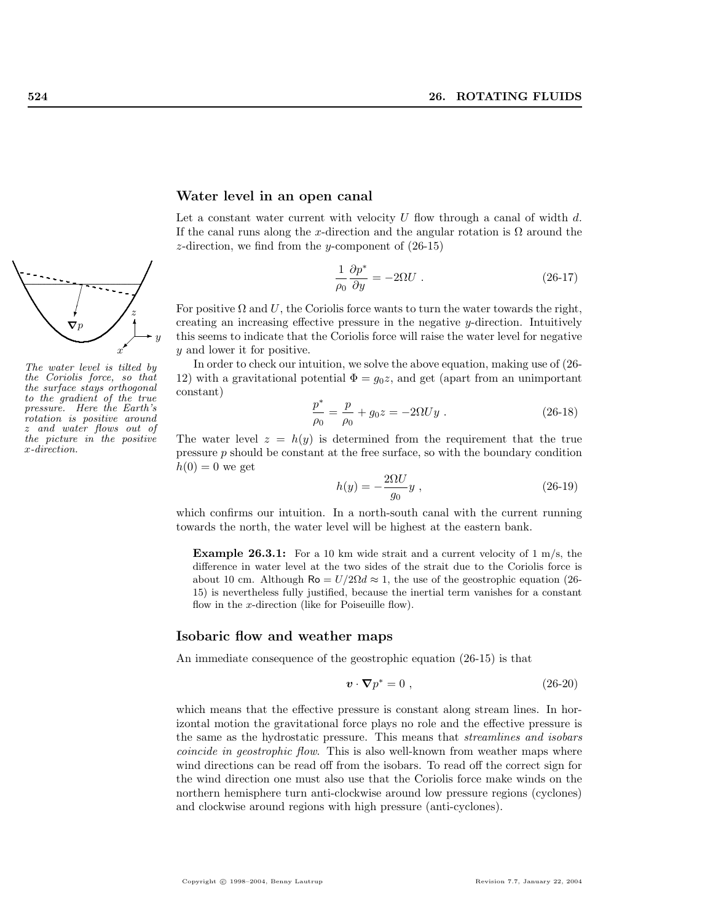

The water level is tilted by the Coriolis force, so that the surface stays orthogonal to the gradient of the true pressure. Here the Earth's rotation is positive around and water flows out of the picture in the positive x-direction.

#### Water level in an open canal

Let a constant water current with velocity  $U$  flow through a canal of width  $d$ . If the canal runs along the x-direction and the angular rotation is  $\Omega$  around the z-direction, we find from the y-component of  $(26-15)$ 

$$
\frac{1}{\rho_0} \frac{\partial p^*}{\partial y} = -2\Omega U \tag{26-17}
$$

For positive  $\Omega$  and U, the Coriolis force wants to turn the water towards the right, creating an increasing effective pressure in the negative y-direction. Intuitively this seems to indicate that the Coriolis force will raise the water level for negative y and lower it for positive.

In order to check our intuition, we solve the above equation, making use of (26- 12) with a gravitational potential  $\Phi = g_0 z$ , and get (apart from an unimportant constant)

$$
\frac{p^*}{\rho_0} = \frac{p}{\rho_0} + g_0 z = -2\Omega U y \ . \tag{26-18}
$$

The water level  $z = h(y)$  is determined from the requirement that the true pressure  $p$  should be constant at the free surface, so with the boundary condition  $h(0) = 0$  we get

$$
h(y) = -\frac{2\Omega U}{g_0} y \t{,} \t(26-19)
$$

which confirms our intuition. In a north-south canal with the current running towards the north, the water level will be highest at the eastern bank.

**Example 26.3.1:** For a 10 km wide strait and a current velocity of 1 m/s, the difference in water level at the two sides of the strait due to the Coriolis force is about 10 cm. Although Ro =  $U/2\Omega d \approx 1$ , the use of the geostrophic equation (26-15) is nevertheless fully justified, because the inertial term vanishes for a constant flow in the x-direction (like for Poiseuille flow).

## Isobaric flow and weather maps

An immediate consequence of the geostrophic equation (26-15) is that

$$
\mathbf{v} \cdot \nabla p^* = 0 \tag{26-20}
$$

which means that the effective pressure is constant along stream lines. In horizontal motion the gravitational force plays no role and the effective pressure is the same as the hydrostatic pressure. This means that streamlines and isobars coincide in geostrophic flow. This is also well-known from weather maps where wind directions can be read off from the isobars. To read off the correct sign for the wind direction one must also use that the Coriolis force make winds on the northern hemisphere turn anti-clockwise around low pressure regions (cyclones) and clockwise around regions with high pressure (anti-cyclones).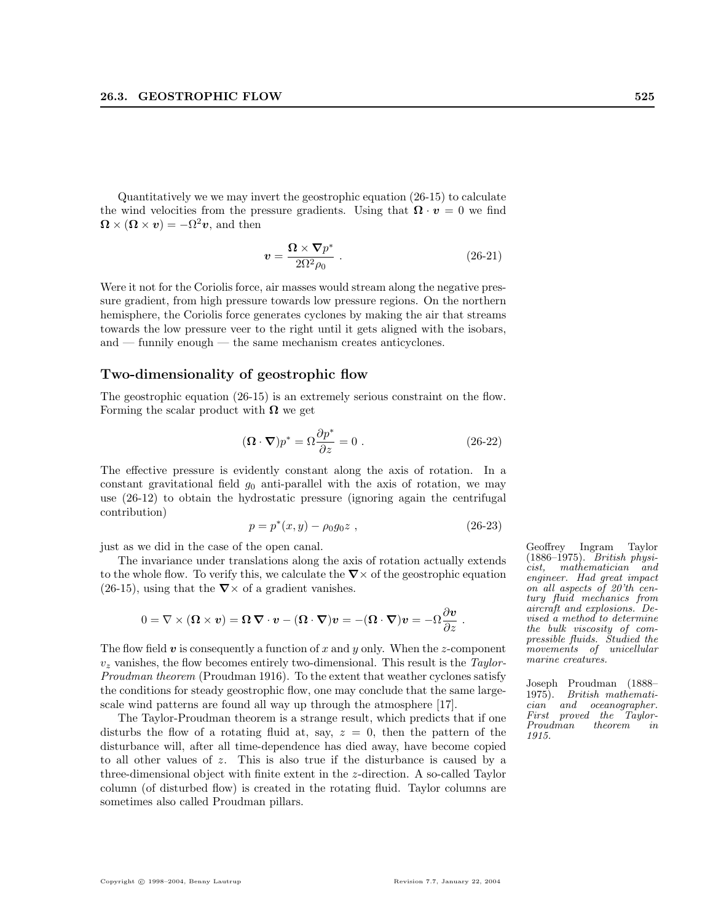Quantitatively we we may invert the geostrophic equation (26-15) to calculate the wind velocities from the pressure gradients. Using that  $\mathbf{\Omega} \cdot \mathbf{v} = 0$  we find  $\mathbf{\Omega} \times (\mathbf{\Omega} \times \mathbf{v}) = -\Omega^2 \mathbf{v}$ , and then

$$
v = \frac{\Omega \times \nabla p^*}{2\Omega^2 \rho_0} \ . \tag{26-21}
$$

Were it not for the Coriolis force, air masses would stream along the negative pressure gradient, from high pressure towards low pressure regions. On the northern hemisphere, the Coriolis force generates cyclones by making the air that streams towards the low pressure veer to the right until it gets aligned with the isobars, and — funnily enough — the same mechanism creates anticyclones.

## Two-dimensionality of geostrophic flow

The geostrophic equation (26-15) is an extremely serious constraint on the flow. Forming the scalar product with  $\Omega$  we get

$$
(\mathbf{\Omega} \cdot \mathbf{\nabla}) p^* = \Omega \frac{\partial p^*}{\partial z} = 0.
$$
 (26-22)

The effective pressure is evidently constant along the axis of rotation. In a constant gravitational field  $g_0$  anti-parallel with the axis of rotation, we may use (26-12) to obtain the hydrostatic pressure (ignoring again the centrifugal contribution)

$$
p = p^*(x, y) - \rho_0 g_0 z \tag{26-23}
$$

just as we did in the case of the open canal. Geoffrey Ingram Taylor

The invariance under translations along the axis of rotation actually extends to the whole flow. To verify this, we calculate the  $\nabla \times$  of the geostrophic equation (26-15), using that the  $\nabla \times$  of a gradient vanishes.

$$
0 = \nabla \times (\mathbf{\Omega} \times \mathbf{v}) = \mathbf{\Omega} \, \mathbf{\nabla} \cdot \mathbf{v} - (\mathbf{\Omega} \cdot \mathbf{\nabla}) \mathbf{v} = -(\mathbf{\Omega} \cdot \mathbf{\nabla}) \mathbf{v} = -\Omega \frac{\partial \mathbf{v}}{\partial z}.
$$

The flow field  $v$  is consequently a function of x and y only. When the z-component  $v<sub>z</sub>$  vanishes, the flow becomes entirely two-dimensional. This result is the Taylor-Proudman theorem (Proudman 1916). To the extent that weather cyclones satisfy the conditions for steady geostrophic flow, one may conclude that the same largescale wind patterns are found all way up through the atmosphere [17].

The Taylor-Proudman theorem is a strange result, which predicts that if one disturbs the flow of a rotating fluid at, say,  $z = 0$ , then the pattern of the disturbance will, after all time-dependence has died away, have become copied to all other values of z. This is also true if the disturbance is caused by a three-dimensional object with finite extent in the z-direction. A so-called Taylor column (of disturbed flow) is created in the rotating fluid. Taylor columns are sometimes also called Proudman pillars.

(1886–1975). British physicist, mathematician and engineer. Had great impact on all aspects of 20'th century fluid mechanics from aircraft and explosions. Devised a method to determine the bulk viscosity of compressible fluids. Studied the movements of unicellular marine creatures.

Joseph Proudman (1888– 1975). British mathematician and oceanographer. First proved the Taylor-Proudman theorem in 1915.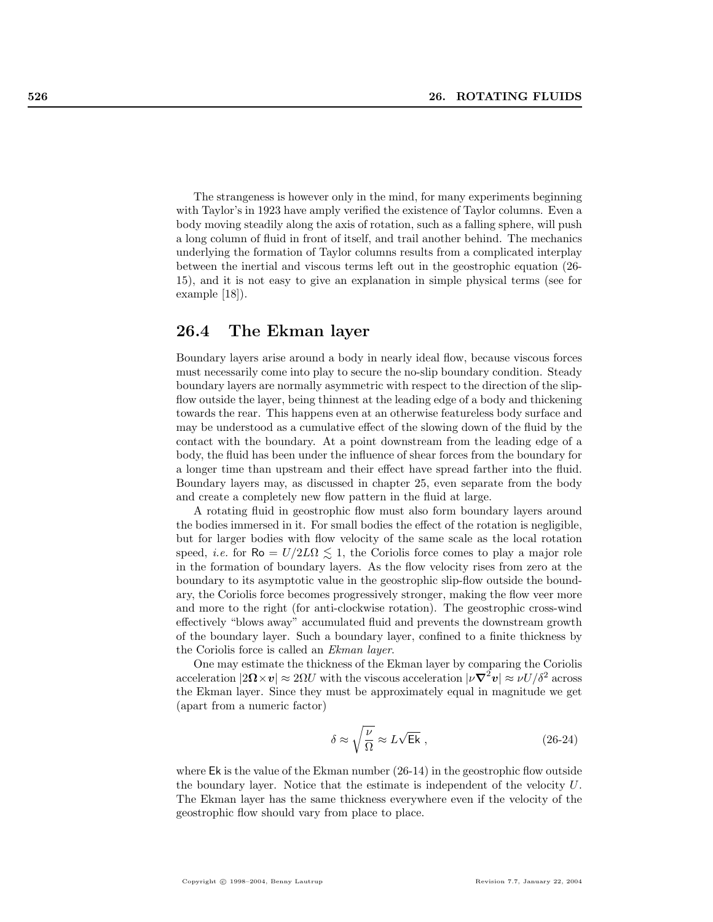The strangeness is however only in the mind, for many experiments beginning with Taylor's in 1923 have amply verified the existence of Taylor columns. Even a body moving steadily along the axis of rotation, such as a falling sphere, will push a long column of fluid in front of itself, and trail another behind. The mechanics underlying the formation of Taylor columns results from a complicated interplay between the inertial and viscous terms left out in the geostrophic equation (26- 15), and it is not easy to give an explanation in simple physical terms (see for example [18]).

## 26.4 The Ekman layer

Boundary layers arise around a body in nearly ideal flow, because viscous forces must necessarily come into play to secure the no-slip boundary condition. Steady boundary layers are normally asymmetric with respect to the direction of the slipflow outside the layer, being thinnest at the leading edge of a body and thickening towards the rear. This happens even at an otherwise featureless body surface and may be understood as a cumulative effect of the slowing down of the fluid by the contact with the boundary. At a point downstream from the leading edge of a body, the fluid has been under the influence of shear forces from the boundary for a longer time than upstream and their effect have spread farther into the fluid. Boundary layers may, as discussed in chapter 25, even separate from the body and create a completely new flow pattern in the fluid at large.

A rotating fluid in geostrophic flow must also form boundary layers around the bodies immersed in it. For small bodies the effect of the rotation is negligible, but for larger bodies with flow velocity of the same scale as the local rotation speed, *i.e.* for  $\text{Ro} = U/2L\Omega \leq 1$ , the Coriolis force comes to play a major role in the formation of boundary layers. As the flow velocity rises from zero at the boundary to its asymptotic value in the geostrophic slip-flow outside the boundary, the Coriolis force becomes progressively stronger, making the flow veer more and more to the right (for anti-clockwise rotation). The geostrophic cross-wind effectively "blows away" accumulated fluid and prevents the downstream growth of the boundary layer. Such a boundary layer, confined to a finite thickness by the Coriolis force is called an Ekman layer.

One may estimate the thickness of the Ekman layer by comparing the Coriolis acceleration  $|2\mathbf{\Omega}\times v|\approx 2\Omega U$  with the viscous acceleration  $|\nu \nabla^2 v|\approx \nu U/\delta^2$  across the Ekman layer. Since they must be approximately equal in magnitude we get (apart from a numeric factor)

$$
\delta \approx \sqrt{\frac{\nu}{\Omega}} \approx L\sqrt{\mathsf{Ek}} \;, \tag{26-24}
$$

where  $E_k$  is the value of the Ekman number  $(26-14)$  in the geostrophic flow outside the boundary layer. Notice that the estimate is independent of the velocity  $U$ . The Ekman layer has the same thickness everywhere even if the velocity of the geostrophic flow should vary from place to place.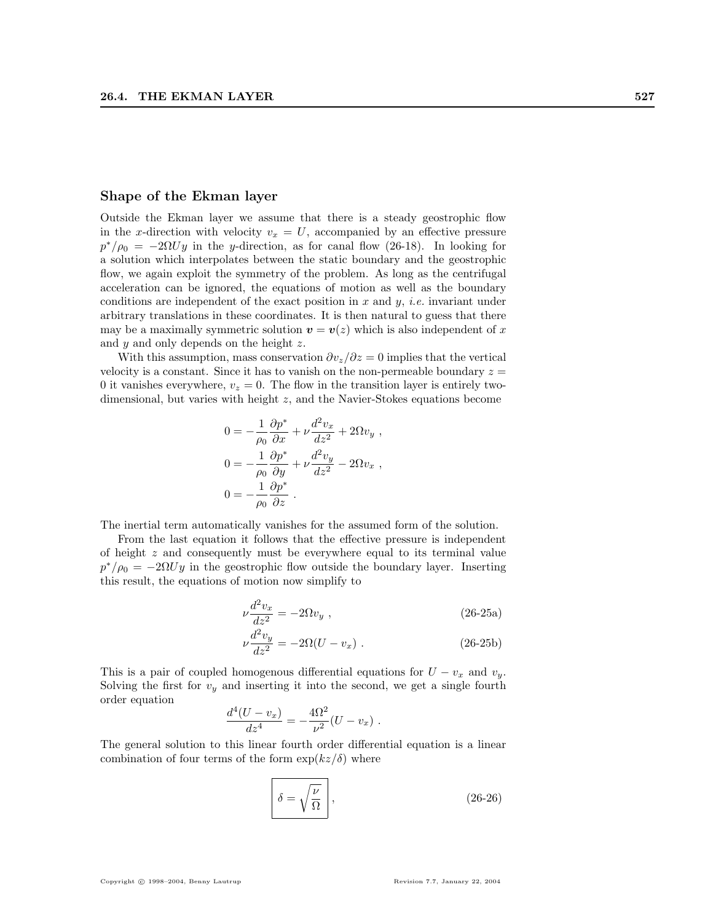#### Shape of the Ekman layer

Outside the Ekman layer we assume that there is a steady geostrophic flow in the x-direction with velocity  $v_x = U$ , accompanied by an effective pressure  $p^*/\rho_0 = -2\Omega U y$  in the y-direction, as for canal flow (26-18). In looking for a solution which interpolates between the static boundary and the geostrophic flow, we again exploit the symmetry of the problem. As long as the centrifugal acceleration can be ignored, the equations of motion as well as the boundary conditions are independent of the exact position in  $x$  and  $y$ , *i.e.* invariant under arbitrary translations in these coordinates. It is then natural to guess that there may be a maximally symmetric solution  $\mathbf{v} = \mathbf{v}(z)$  which is also independent of x and y and only depends on the height z.

With this assumption, mass conservation  $\partial v_z/\partial z = 0$  implies that the vertical velocity is a constant. Since it has to vanish on the non-permeable boundary  $z =$ 0 it vanishes everywhere,  $v_z = 0$ . The flow in the transition layer is entirely twodimensional, but varies with height z, and the Navier-Stokes equations become

$$
0 = -\frac{1}{\rho_0} \frac{\partial p^*}{\partial x} + \nu \frac{d^2 v_x}{dz^2} + 2\Omega v_y,
$$
  
\n
$$
0 = -\frac{1}{\rho_0} \frac{\partial p^*}{\partial y} + \nu \frac{d^2 v_y}{dz^2} - 2\Omega v_x,
$$
  
\n
$$
0 = -\frac{1}{\rho_0} \frac{\partial p^*}{\partial z}.
$$

The inertial term automatically vanishes for the assumed form of the solution.

From the last equation it follows that the effective pressure is independent of height z and consequently must be everywhere equal to its terminal value  $p^*/\rho_0 = -2\Omega U y$  in the geostrophic flow outside the boundary layer. Inserting this result, the equations of motion now simplify to

$$
\nu \frac{d^2 v_x}{dz^2} = -2\Omega v_y \ , \qquad (26-25a)
$$

$$
\nu \frac{d^2 v_y}{dz^2} = -2\Omega (U - v_x) \ . \tag{26-25b}
$$

This is a pair of coupled homogenous differential equations for  $U - v_x$  and  $v_y$ . Solving the first for  $v_y$  and inserting it into the second, we get a single fourth order equation

$$
\frac{d^4(U - v_x)}{dz^4} = -\frac{4\Omega^2}{\nu^2}(U - v_x) .
$$

The general solution to this linear fourth order differential equation is a linear combination of four terms of the form  $\exp(kz/\delta)$  where

$$
\delta = \sqrt{\frac{\nu}{\Omega}} \,, \tag{26-26}
$$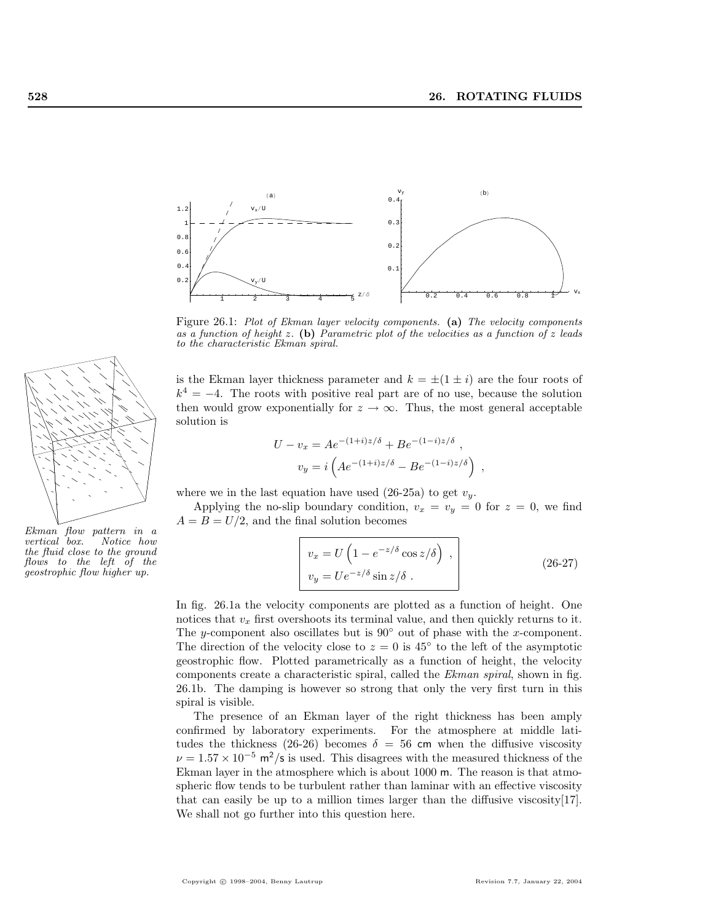

Figure 26.1: Plot of Ekman layer velocity components. (a) The velocity components as a function of height z. (b) Parametric plot of the velocities as a function of z leads to the characteristic Ekman spiral.

is the Ekman layer thickness parameter and  $k = \pm(1 \pm i)$  are the four roots of  $k^4 = -4$ . The roots with positive real part are of no use, because the solution then would grow exponentially for  $z \to \infty$ . Thus, the most general acceptable solution is

$$
U - v_x = Ae^{-(1+i)z/\delta} + Be^{-(1-i)z/\delta} ,
$$
  

$$
v_y = i \left( Ae^{-(1+i)z/\delta} - Be^{-(1-i)z/\delta} \right) ,
$$

where we in the last equation have used (26-25a) to get  $v_y$ .

Applying the no-slip boundary condition,  $v_x = v_y = 0$  for  $z = 0$ , we find  $A = B = U/2$ , and the final solution becomes

$$
v_x = U \left( 1 - e^{-z/\delta} \cos z/\delta \right) ,
$$
  
\n
$$
v_y = U e^{-z/\delta} \sin z/\delta .
$$
 (26-27)

In fig. 26.1a the velocity components are plotted as a function of height. One notices that  $v_x$  first overshoots its terminal value, and then quickly returns to it. The y-component also oscillates but is  $90°$  out of phase with the x-component. The direction of the velocity close to  $z = 0$  is 45 $\degree$  to the left of the asymptotic geostrophic flow. Plotted parametrically as a function of height, the velocity components create a characteristic spiral, called the Ekman spiral, shown in fig. 26.1b. The damping is however so strong that only the very first turn in this spiral is visible.

The presence of an Ekman layer of the right thickness has been amply confirmed by laboratory experiments. For the atmosphere at middle latitudes the thickness (26-26) becomes  $\delta = 56$  cm when the diffusive viscosity  $\nu=1.57\times 10^{-5}$  m<sup>2</sup>/s is used. This disagrees with the measured thickness of the Ekman layer in the atmosphere which is about 1000 m. The reason is that atmospheric flow tends to be turbulent rather than laminar with an effective viscosity that can easily be up to a million times larger than the diffusive viscosity[17]. We shall not go further into this question here.



Ekman flow pattern in a vertical box. Notice how the fluid close to the ground flows to the left of the geostrophic flow higher up.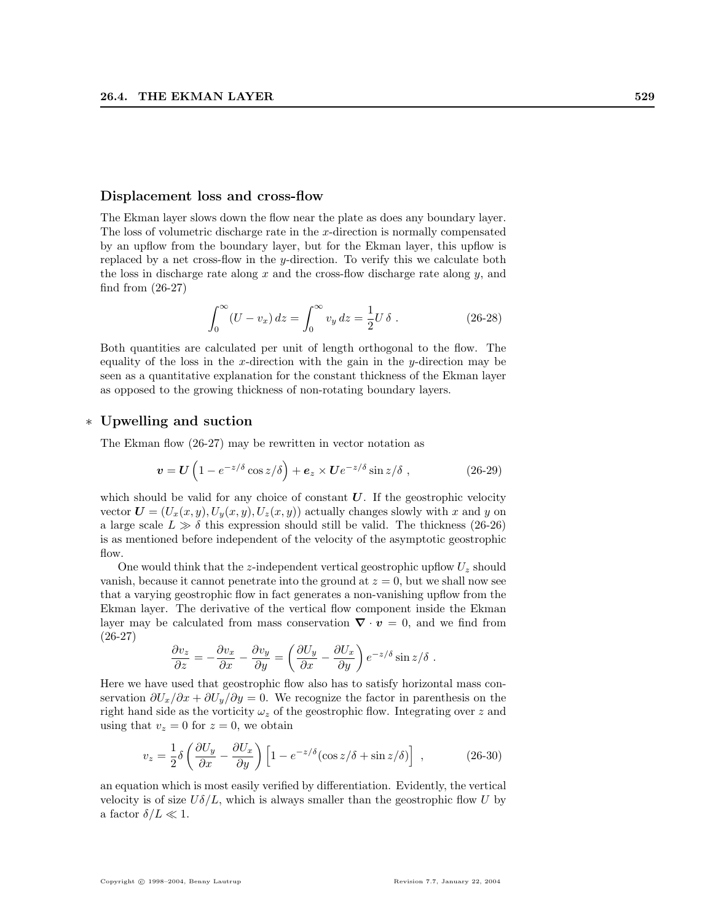#### Displacement loss and cross-flow

The Ekman layer slows down the flow near the plate as does any boundary layer. The loss of volumetric discharge rate in the x-direction is normally compensated by an upflow from the boundary layer, but for the Ekman layer, this upflow is replaced by a net cross-flow in the y-direction. To verify this we calculate both the loss in discharge rate along x and the cross-flow discharge rate along  $y$ , and find from (26-27)

$$
\int_0^\infty (U - v_x) \, dz = \int_0^\infty v_y \, dz = \frac{1}{2} U \, \delta \tag{26-28}
$$

Both quantities are calculated per unit of length orthogonal to the flow. The equality of the loss in the x-direction with the gain in the  $y$ -direction may be seen as a quantitative explanation for the constant thickness of the Ekman layer as opposed to the growing thickness of non-rotating boundary layers.

## ∗ Upwelling and suction

The Ekman flow (26-27) may be rewritten in vector notation as

$$
\boldsymbol{v} = \boldsymbol{U} \left( 1 - e^{-z/\delta} \cos z/\delta \right) + \boldsymbol{e}_z \times \boldsymbol{U} e^{-z/\delta} \sin z/\delta \;, \tag{26-29}
$$

which should be valid for any choice of constant  $U$ . If the geostrophic velocity vector  $\mathbf{U} = (U_x(x, y), U_y(x, y), U_z(x, y))$  actually changes slowly with x and y on a large scale  $L \gg \delta$  this expression should still be valid. The thickness (26-26) is as mentioned before independent of the velocity of the asymptotic geostrophic flow.

One would think that the z-independent vertical geostrophic upflow  $U_z$  should vanish, because it cannot penetrate into the ground at  $z = 0$ , but we shall now see that a varying geostrophic flow in fact generates a non-vanishing upflow from the Ekman layer. The derivative of the vertical flow component inside the Ekman layer may be calculated from mass conservation  $\nabla \cdot v = 0$ , and we find from (26-27)  $\overline{a}$ 

$$
\frac{\partial v_z}{\partial z} = -\frac{\partial v_x}{\partial x} - \frac{\partial v_y}{\partial y} = \left(\frac{\partial U_y}{\partial x} - \frac{\partial U_x}{\partial y}\right) e^{-z/\delta} \sin z/\delta.
$$

Here we have used that geostrophic flow also has to satisfy horizontal mass conservation  $\partial U_x/\partial x + \partial U_y/\partial y = 0$ . We recognize the factor in parenthesis on the right hand side as the vorticity  $\omega_z$  of the geostrophic flow. Integrating over z and using that  $v_z = 0$  for  $z = 0$ , we obtain

$$
v_z = \frac{1}{2}\delta \left( \frac{\partial U_y}{\partial x} - \frac{\partial U_x}{\partial y} \right) \left[ 1 - e^{-z/\delta} (\cos z/\delta + \sin z/\delta) \right] ,\qquad (26-30)
$$

an equation which is most easily verified by differentiation. Evidently, the vertical velocity is of size  $U\delta/L$ , which is always smaller than the geostrophic flow U by a factor  $\delta/L \ll 1$ .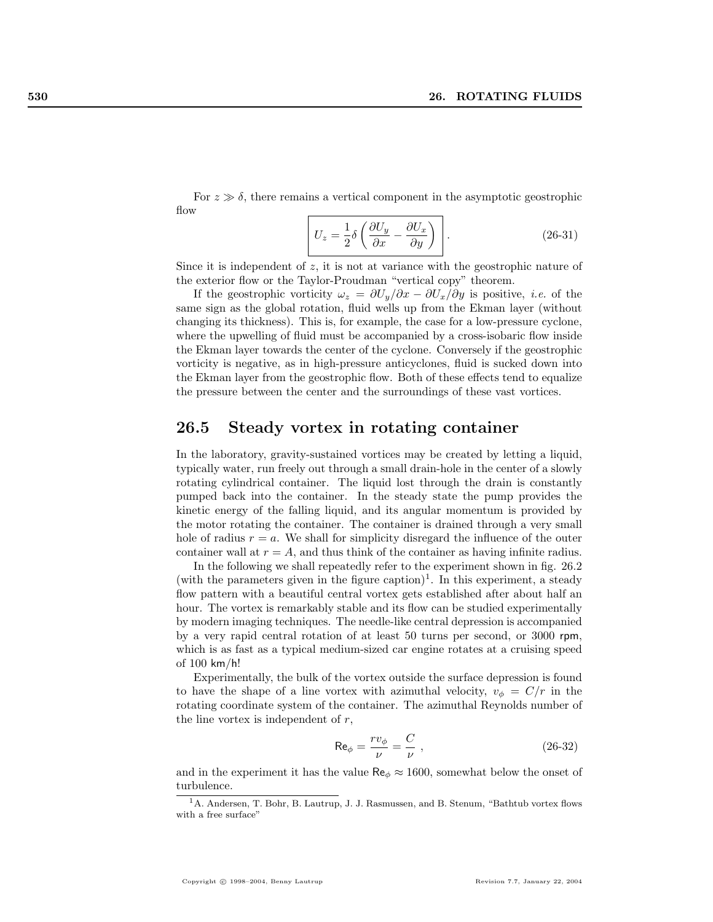For  $z \gg \delta$ , there remains a vertical component in the asymptotic geostrophic flow

$$
U_z = \frac{1}{2}\delta \left(\frac{\partial U_y}{\partial x} - \frac{\partial U_x}{\partial y}\right).
$$
 (26-31)

Since it is independent of  $z$ , it is not at variance with the geostrophic nature of the exterior flow or the Taylor-Proudman "vertical copy" theorem.

If the geostrophic vorticity  $\omega_z = \partial U_y/\partial x - \partial U_x/\partial y$  is positive, *i.e.* of the same sign as the global rotation, fluid wells up from the Ekman layer (without changing its thickness). This is, for example, the case for a low-pressure cyclone, where the upwelling of fluid must be accompanied by a cross-isobaric flow inside the Ekman layer towards the center of the cyclone. Conversely if the geostrophic vorticity is negative, as in high-pressure anticyclones, fluid is sucked down into the Ekman layer from the geostrophic flow. Both of these effects tend to equalize the pressure between the center and the surroundings of these vast vortices.

## 26.5 Steady vortex in rotating container

In the laboratory, gravity-sustained vortices may be created by letting a liquid, typically water, run freely out through a small drain-hole in the center of a slowly rotating cylindrical container. The liquid lost through the drain is constantly pumped back into the container. In the steady state the pump provides the kinetic energy of the falling liquid, and its angular momentum is provided by the motor rotating the container. The container is drained through a very small hole of radius  $r = a$ . We shall for simplicity disregard the influence of the outer container wall at  $r = A$ , and thus think of the container as having infinite radius.

In the following we shall repeatedly refer to the experiment shown in fig. 26.2 (with the parameters given in the figure caption)<sup>1</sup>. In this experiment, a steady flow pattern with a beautiful central vortex gets established after about half an hour. The vortex is remarkably stable and its flow can be studied experimentally by modern imaging techniques. The needle-like central depression is accompanied by a very rapid central rotation of at least 50 turns per second, or 3000 rpm, which is as fast as a typical medium-sized car engine rotates at a cruising speed of 100 km/h!

Experimentally, the bulk of the vortex outside the surface depression is found to have the shape of a line vortex with azimuthal velocity,  $v_{\phi} = C/r$  in the rotating coordinate system of the container. The azimuthal Reynolds number of the line vortex is independent of  $r$ ,

$$
\text{Re}_{\phi} = \frac{rv_{\phi}}{\nu} = \frac{C}{\nu} \tag{26-32}
$$

and in the experiment it has the value  $\text{Re}_{\phi} \approx 1600$ , somewhat below the onset of turbulence.

<sup>1</sup>A. Andersen, T. Bohr, B. Lautrup, J. J. Rasmussen, and B. Stenum, "Bathtub vortex flows with a free surface'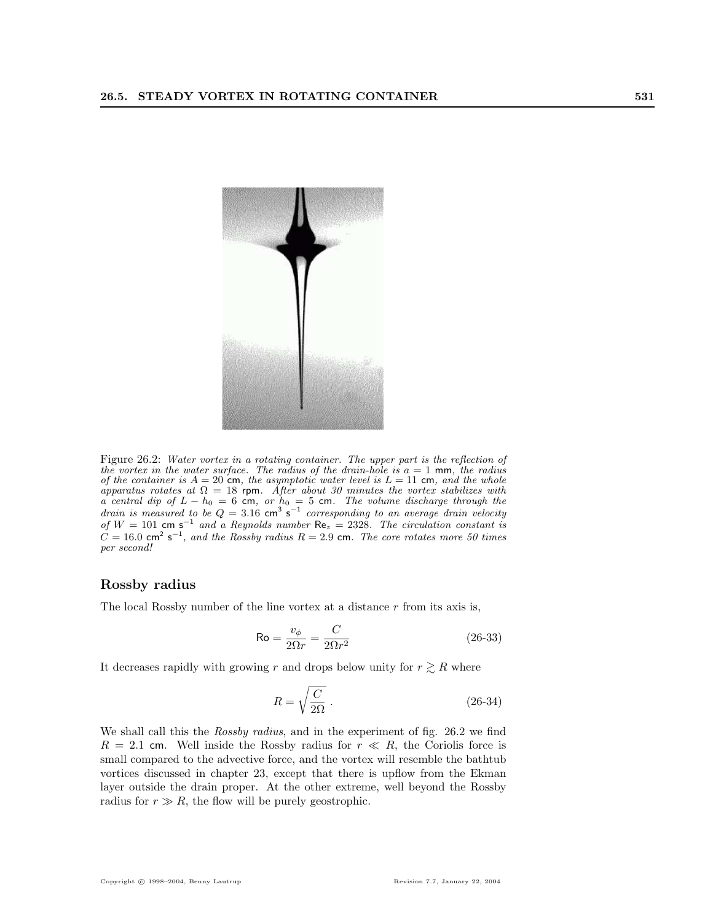

Figure 26.2: Water vortex in a rotating container. The upper part is the reflection of the vortex in the water surface. The radius of the drain-hole is  $a = 1$  mm, the radius of the container is  $A = 20$  cm, the asymptotic water level is  $L = 11$  cm, and the whole apparatus rotates at  $\Omega = 18$  rpm. After about 30 minutes the vortex stabilizes with a central dip of  $L - h_0 = 6$  cm, or  $h_0 = 5$  cm. The volume discharge through the drain is measured to be  $Q = 3.16$  cm<sup>3</sup> s<sup>-1</sup> corresponding to an average drain velocity of  $W = 101$  cm s<sup>-1</sup> and a Reynolds number  $\text{Re}_z = 2328$ . The circulation constant is  $C = 16.0$  cm<sup>2</sup> s<sup>-1</sup>, and the Rossby radius R = 2.9 cm. The core rotates more 50 times per second!

## Rossby radius

The local Rossby number of the line vortex at a distance  $r$  from its axis is,

$$
\text{Ro} = \frac{v_{\phi}}{2\Omega r} = \frac{C}{2\Omega r^2} \tag{26-33}
$$

It decreases rapidly with growing r and drops below unity for  $r \gtrsim R$  where

$$
R = \sqrt{\frac{C}{2\Omega}} \ . \eqno{(26-34)}
$$

We shall call this the *Rossby radius*, and in the experiment of fig. 26.2 we find  $R = 2.1$  cm. Well inside the Rossby radius for  $r \ll R$ , the Coriolis force is small compared to the advective force, and the vortex will resemble the bathtub vortices discussed in chapter 23, except that there is upflow from the Ekman layer outside the drain proper. At the other extreme, well beyond the Rossby radius for  $r \gg R$ , the flow will be purely geostrophic.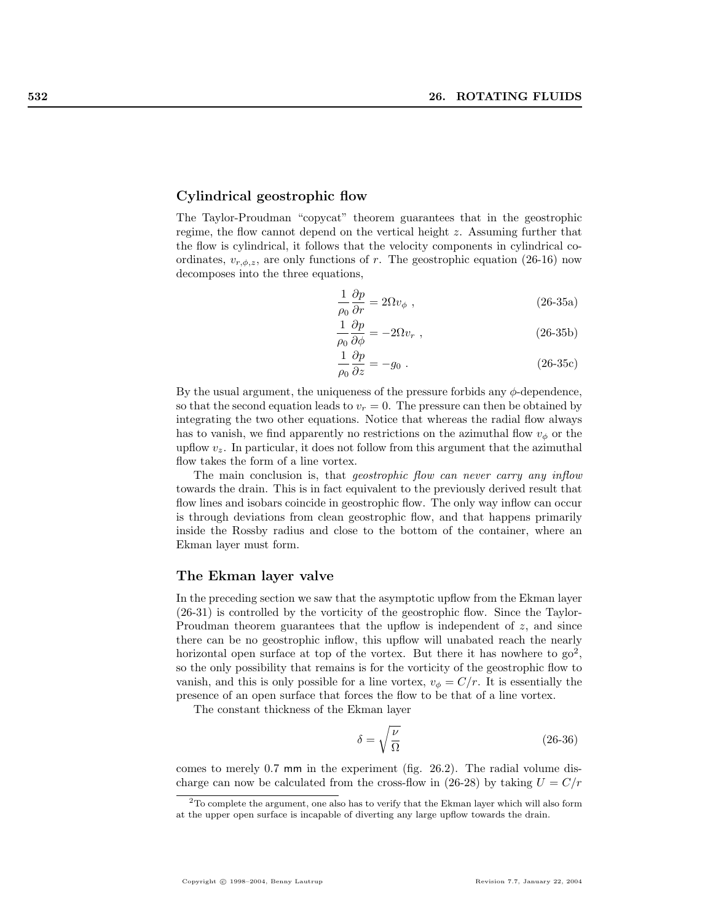## Cylindrical geostrophic flow

The Taylor-Proudman "copycat" theorem guarantees that in the geostrophic regime, the flow cannot depend on the vertical height z. Assuming further that the flow is cylindrical, it follows that the velocity components in cylindrical coordinates,  $v_{r,\phi,z}$ , are only functions of r. The geostrophic equation (26-16) now decomposes into the three equations,

$$
\frac{1}{\rho_0} \frac{\partial p}{\partial r} = 2\Omega v_\phi \ , \tag{26-35a}
$$

$$
\frac{1}{\rho_0} \frac{\partial p}{\partial \phi} = -2\Omega v_r , \qquad (26-35b)
$$

$$
\frac{1}{\rho_0} \frac{\partial p}{\partial z} = -g_0 \tag{26-35c}
$$

By the usual argument, the uniqueness of the pressure forbids any  $\phi$ -dependence, so that the second equation leads to  $v_r = 0$ . The pressure can then be obtained by integrating the two other equations. Notice that whereas the radial flow always has to vanish, we find apparently no restrictions on the azimuthal flow  $v_{\phi}$  or the upflow  $v_z$ . In particular, it does not follow from this argument that the azimuthal flow takes the form of a line vortex.

The main conclusion is, that *geostrophic flow can never carry any inflow* towards the drain. This is in fact equivalent to the previously derived result that flow lines and isobars coincide in geostrophic flow. The only way inflow can occur is through deviations from clean geostrophic flow, and that happens primarily inside the Rossby radius and close to the bottom of the container, where an Ekman layer must form.

## The Ekman layer valve

In the preceding section we saw that the asymptotic upflow from the Ekman layer (26-31) is controlled by the vorticity of the geostrophic flow. Since the Taylor-Proudman theorem guarantees that the upflow is independent of  $z$ , and since there can be no geostrophic inflow, this upflow will unabated reach the nearly horizontal open surface at top of the vortex. But there it has nowhere to  $\gamma_2^2$ , so the only possibility that remains is for the vorticity of the geostrophic flow to vanish, and this is only possible for a line vortex,  $v_{\phi} = C/r$ . It is essentially the presence of an open surface that forces the flow to be that of a line vortex.

The constant thickness of the Ekman layer

$$
\delta = \sqrt{\frac{\nu}{\Omega}}\tag{26-36}
$$

comes to merely 0.7 mm in the experiment (fig. 26.2). The radial volume discharge can now be calculated from the cross-flow in (26-28) by taking  $U = C/r$ 

<sup>2</sup>To complete the argument, one also has to verify that the Ekman layer which will also form at the upper open surface is incapable of diverting any large upflow towards the drain.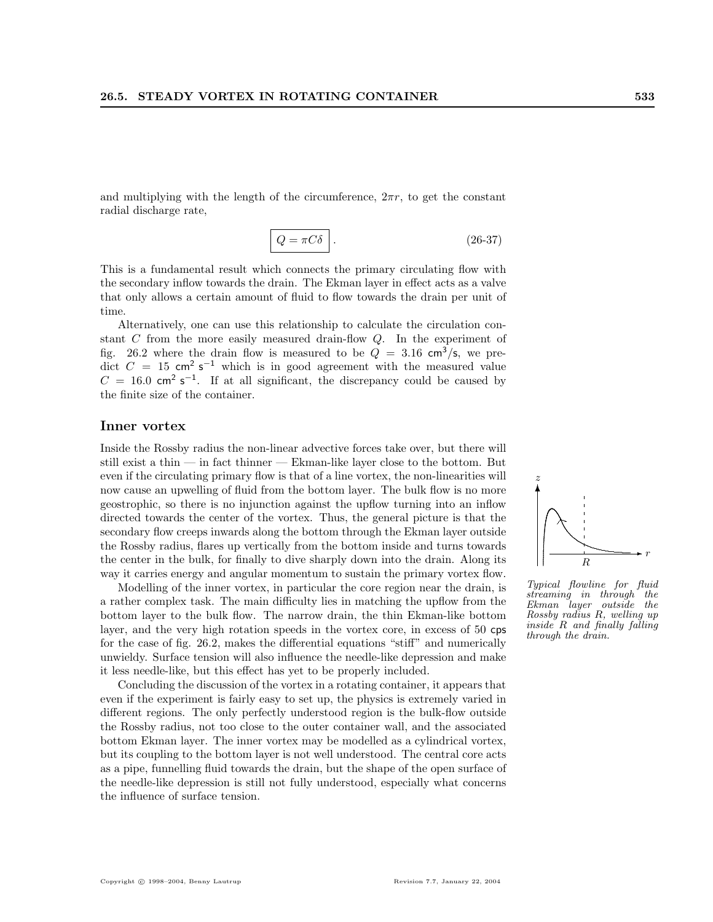and multiplying with the length of the circumference,  $2\pi r$ , to get the constant radial discharge rate,

$$
Q = \pi C \delta \quad . \tag{26-37}
$$

This is a fundamental result which connects the primary circulating flow with the secondary inflow towards the drain. The Ekman layer in effect acts as a valve that only allows a certain amount of fluid to flow towards the drain per unit of time.

Alternatively, one can use this relationship to calculate the circulation constant C from the more easily measured drain-flow Q. In the experiment of fig. 26.2 where the drain flow is measured to be  $Q = 3.16 \text{ cm}^3/\text{s}$ , we predict  $C = 15$  cm<sup>2</sup> s<sup>-1</sup> which is in good agreement with the measured value  $C = 16.0$  cm<sup>2</sup> s<sup>-1</sup>. If at all significant, the discrepancy could be caused by the finite size of the container.

#### Inner vortex

Inside the Rossby radius the non-linear advective forces take over, but there will still exist a thin — in fact thinner — Ekman-like layer close to the bottom. But even if the circulating primary flow is that of a line vortex, the non-linearities will now cause an upwelling of fluid from the bottom layer. The bulk flow is no more geostrophic, so there is no injunction against the upflow turning into an inflow directed towards the center of the vortex. Thus, the general picture is that the secondary flow creeps inwards along the bottom through the Ekman layer outside the Rossby radius, flares up vertically from the bottom inside and turns towards the center in the bulk, for finally to dive sharply down into the drain. Along its way it carries energy and angular momentum to sustain the primary vortex flow.

Modelling of the inner vortex, in particular the core region near the drain, is a rather complex task. The main difficulty lies in matching the upflow from the bottom layer to the bulk flow. The narrow drain, the thin Ekman-like bottom layer, and the very high rotation speeds in the vortex core, in excess of 50 cps for the case of fig. 26.2, makes the differential equations "stiff" and numerically unwieldy. Surface tension will also influence the needle-like depression and make it less needle-like, but this effect has yet to be properly included.

Concluding the discussion of the vortex in a rotating container, it appears that even if the experiment is fairly easy to set up, the physics is extremely varied in different regions. The only perfectly understood region is the bulk-flow outside the Rossby radius, not too close to the outer container wall, and the associated bottom Ekman layer. The inner vortex may be modelled as a cylindrical vortex, but its coupling to the bottom layer is not well understood. The central core acts as a pipe, funnelling fluid towards the drain, but the shape of the open surface of the needle-like depression is still not fully understood, especially what concerns the influence of surface tension.



Typical flowline for fluid streaming in through the Ekman layer outside the Rossby radius R, welling up inside R and finally falling through the drain.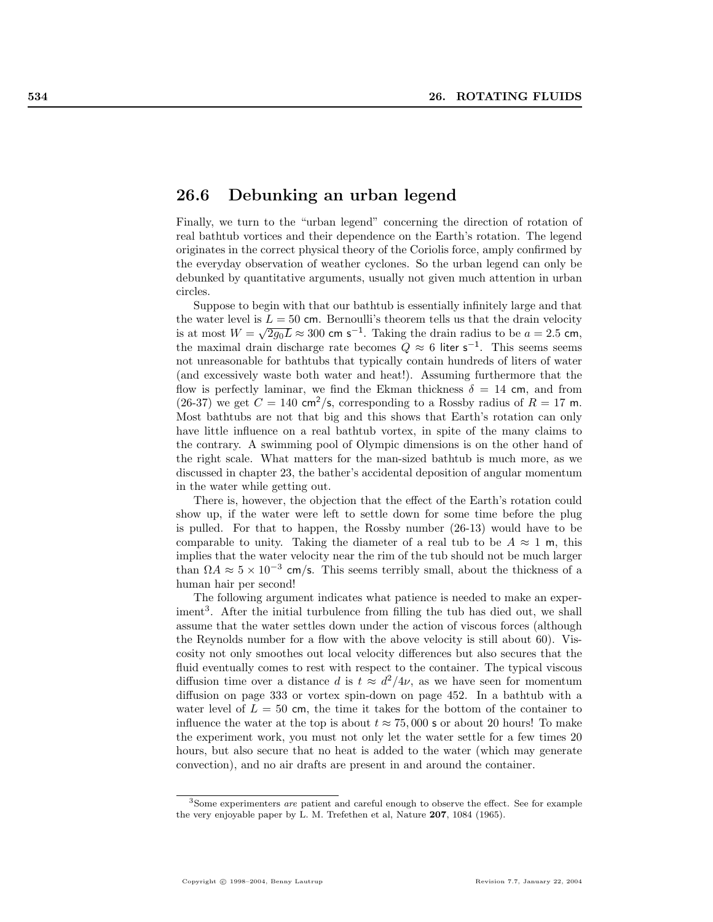## 26.6 Debunking an urban legend

Finally, we turn to the "urban legend" concerning the direction of rotation of real bathtub vortices and their dependence on the Earth's rotation. The legend originates in the correct physical theory of the Coriolis force, amply confirmed by the everyday observation of weather cyclones. So the urban legend can only be debunked by quantitative arguments, usually not given much attention in urban circles.

Suppose to begin with that our bathtub is essentially infinitely large and that the water level is  $L = 50$  cm. Bernoulli's theorem tells us that the drain velocity the water level is  $L = 30$  cm. Bernoulli s theorem tells us that the drain velocity<br>is at most  $W = \sqrt{2g_0L} \approx 300$  cm s<sup>-1</sup>. Taking the drain radius to be  $a = 2.5$  cm, the maximal drain discharge rate becomes  $Q \approx 6$  liter s<sup>-1</sup>. This seems seems not unreasonable for bathtubs that typically contain hundreds of liters of water (and excessively waste both water and heat!). Assuming furthermore that the flow is perfectly laminar, we find the Ekman thickness  $\delta = 14$  cm, and from (26-37) we get  $C = 140 \text{ cm}^2/\text{s}$ , corresponding to a Rossby radius of  $R = 17 \text{ m}$ . Most bathtubs are not that big and this shows that Earth's rotation can only have little influence on a real bathtub vortex, in spite of the many claims to the contrary. A swimming pool of Olympic dimensions is on the other hand of the right scale. What matters for the man-sized bathtub is much more, as we discussed in chapter 23, the bather's accidental deposition of angular momentum in the water while getting out.

There is, however, the objection that the effect of the Earth's rotation could show up, if the water were left to settle down for some time before the plug is pulled. For that to happen, the Rossby number (26-13) would have to be comparable to unity. Taking the diameter of a real tub to be  $A \approx 1$  m, this implies that the water velocity near the rim of the tub should not be much larger than  $\Omega A \approx 5 \times 10^{-3}$  cm/s. This seems terribly small, about the thickness of a human hair per second!

The following argument indicates what patience is needed to make an experiment<sup>3</sup>. After the initial turbulence from filling the tub has died out, we shall assume that the water settles down under the action of viscous forces (although the Reynolds number for a flow with the above velocity is still about 60). Viscosity not only smoothes out local velocity differences but also secures that the fluid eventually comes to rest with respect to the container. The typical viscous diffusion time over a distance d is  $t \approx d^2/4\nu$ , as we have seen for momentum diffusion on page 333 or vortex spin-down on page 452. In a bathtub with a water level of  $L = 50$  cm, the time it takes for the bottom of the container to influence the water at the top is about  $t \approx 75,000$  s or about 20 hours! To make the experiment work, you must not only let the water settle for a few times 20 hours, but also secure that no heat is added to the water (which may generate convection), and no air drafts are present in and around the container.

<sup>3</sup>Some experimenters are patient and careful enough to observe the effect. See for example the very enjoyable paper by L. M. Trefethen et al, Nature 207, 1084 (1965).